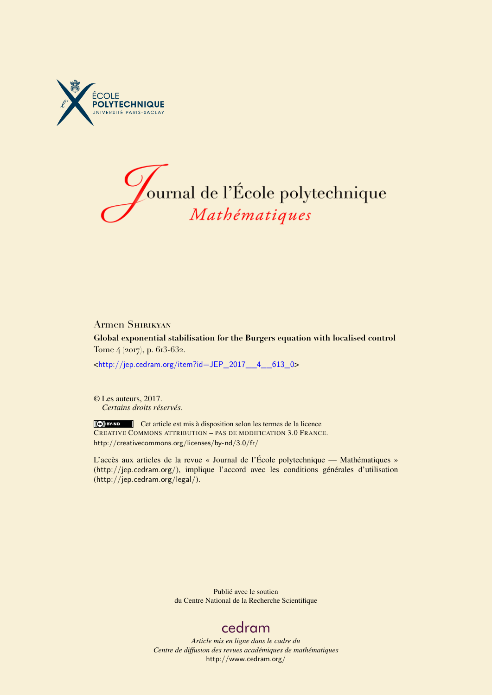



## Armen Shirikyan

**Global exponential stabilisation for the Burgers equation with localised control** Tome 4 (2017), p. 613-632.

<[http://jep.cedram.org/item?id=JEP\\_2017\\_\\_4\\_\\_613\\_0](http://jep.cedram.org/item?id=JEP_2017__4__613_0)>

© Les auteurs, 2017. *Certains droits réservés.*

Cet article est mis à disposition selon les termes de la licence CREATIVE COMMONS ATTRIBUTION – PAS DE MODIFICATION 3.0 FRANCE. <http://creativecommons.org/licenses/by-nd/3.0/fr/>

L'accès aux articles de la revue « Journal de l'École polytechnique — Mathématiques » (<http://jep.cedram.org/>), implique l'accord avec les conditions générales d'utilisation (<http://jep.cedram.org/legal/>).

> Publié avec le soutien du Centre National de la Recherche Scientifique

## [cedram](http://www.cedram.org/)

*Article mis en ligne dans le cadre du Centre de diffusion des revues académiques de mathématiques* <http://www.cedram.org/>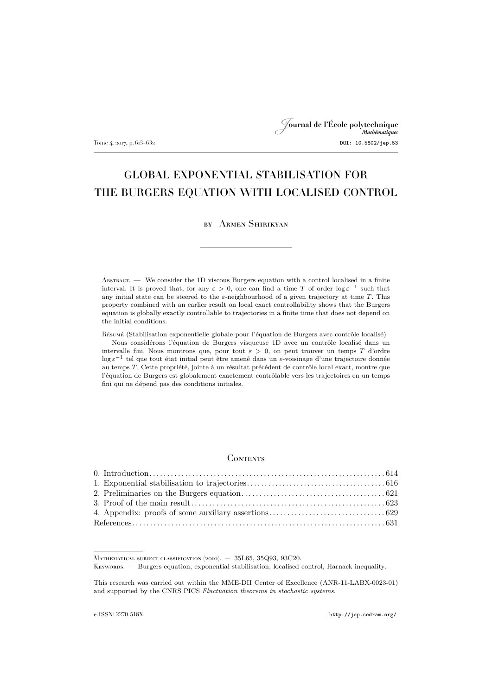# Journal de l'École polytechnique Tome 4, 2017, p. 613–632<br>DOI: 10.5802/jep.53

## GLOBAL EXPONENTIAL STABILISATION FOR THE BURGERS EQUATION WITH LOCALISED CONTROL

## by Armen Shirikyan

Abstract. — We consider the 1D viscous Burgers equation with a control localised in a finite interval. It is proved that, for any  $\varepsilon > 0$ , one can find a time T of order  $\log \varepsilon^{-1}$  such that any initial state can be steered to the  $\varepsilon$ -neighbourhood of a given trajectory at time T. This property combined with an earlier result on local exact controllability shows that the Burgers equation is globally exactly controllable to trajectories in a finite time that does not depend on the initial conditions.

Résumé (Stabilisation exponentielle globale pour l'équation de Burgers avec contrôle localisé) Nous considérons l'équation de Burgers visqueuse 1D avec un contrôle localisé dans un intervalle fini. Nous montrons que, pour tout  $\varepsilon > 0$ , on peut trouver un temps T d'ordre log ε<sup>−1</sup> tel que tout état initial peut être amené dans un ε-voisinage d'une trajectoire donnée au temps T. Cette propriété, jointe à un résultat précédent de contrôle local exact, montre que l'équation de Burgers est globalement exactement contrôlable vers les trajectoires en un temps fini qui ne dépend pas des conditions initiales.

### **CONTENTS**

Keywords. — Burgers equation, exponential stabilisation, localised control, Harnack inequality.

Mathematical subject classification (2010). — 35L65, 35Q93, 93C20.

This research was carried out within the MME-DII Center of Excellence (ANR-11-LABX-0023-01) and supported by the CNRS PICS *Fluctuation theorems in stochastic systems*.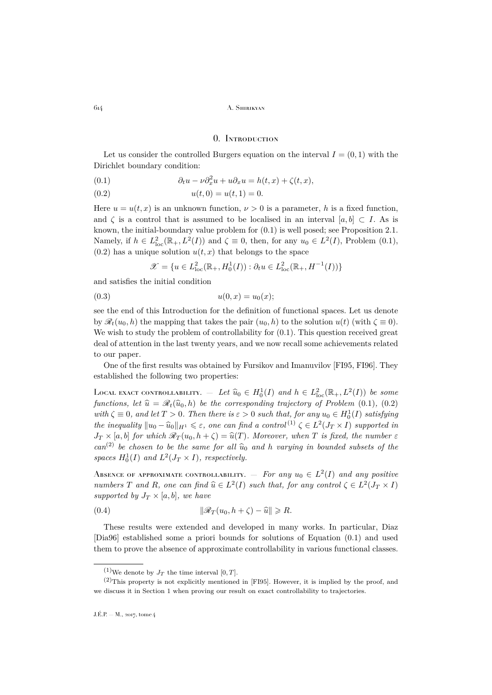### 0. Introduction

<span id="page-2-0"></span>Let us consider the controlled Burgers equation on the interval  $I = (0, 1)$  with the Dirichlet boundary condition:

<span id="page-2-1"></span>(0.1) 
$$
\partial_t u - \nu \partial_x^2 u + u \partial_x u = h(t, x) + \zeta(t, x),
$$

<span id="page-2-2"></span>
$$
(0.2) \t\t u(t,0) = u(t,1) = 0.
$$

Here  $u = u(t, x)$  is an unknown function,  $\nu > 0$  is a parameter, h is a fixed function, and  $\zeta$  is a control that is assumed to be localised in an interval  $[a, b] \subset I$ . As is known, the initial-boundary value problem for [\(0.1\)](#page-2-1) is well posed; see Proposition 2.1. Namely, if  $h \in L^2_{loc}(\mathbb{R}_+, L^2(I))$  and  $\zeta \equiv 0$ , then, for any  $u_0 \in L^2(I)$ , Problem [\(0.1\)](#page-2-1),  $(0.2)$  has a unique solution  $u(t, x)$  that belongs to the space

<span id="page-2-3"></span>
$$
\mathscr{X}=\{u\in L^2_{\mathrm{loc}}(\mathbb{R}_+,H^1_0(I)):\partial_t u\in L^2_{\mathrm{loc}}(\mathbb{R}_+,H^{-1}(I))\}
$$

and satisfies the initial condition

$$
(0.3) \t\t u(0,x) = u_0(x);
$$

see the end of this Introduction for the definition of functional spaces. Let us denote by  $\mathscr{R}_t(u_0, h)$  the mapping that takes the pair  $(u_0, h)$  to the solution  $u(t)$  (with  $\zeta \equiv 0$ ). We wish to study the problem of controllability for  $(0.1)$ . This question received great deal of attention in the last twenty years, and we now recall some achievements related to our paper.

One of the first results was obtained by Fursikov and Imanuvilov [\[FI95,](#page-20-0) [FI96\]](#page-20-1). They established the following two properties:

LOCAL EXACT CONTROLLABILITY. — Let  $\widehat{u}_0 \in H_0^1(I)$  and  $h \in L^2_{loc}(\mathbb{R}_+, L^2(I))$  be some<br>functions, let  $\widehat{u}_0 \in \mathbb{R}$ . by the the corresponding training functions of Drablem  $(0, 1)$ ,  $(0, 2)$ *functions, let*  $\hat{u} = \mathcal{R}_t(\hat{u}_0, h)$  *be the corresponding trajectory of Problem* [\(0.1\)](#page-2-1)*,* [\(0.2\)](#page-2-2)  $with \zeta \equiv 0, and let T > 0.$  Then there is  $\varepsilon > 0$  such that, for any  $u_0 \in H_0^1(I)$  satisfying *the inequality*  $||u_0 - \hat{u}_0||_{H^1} \leq \varepsilon$ , one can find a control<sup>(1)</sup>  $\zeta \in L^2(J_T \times I)$  supported in<br>  $I_{\zeta}$  is a both for which  $\mathcal{R}$  (as  $h \in \zeta$ )  $\widehat{\omega}(T)$ . Moreover, when T is fixed, the number of  $J_T \times [a, b]$  *for which*  $\mathcal{R}_T(u_0, h + \zeta) = \hat{u}(T)$ *. Moreover, when* T *is fixed, the number*  $\varepsilon$  $can^{(2)}$  be chosen to be the same for all  $\hat{u}_0$  and h *varying in bounded subsets of the* spaces  $H_0^1(I)$  and  $L^2(J_T \times I)$ , respectively.

Absence of approximate controllability.  $-$  *For any*  $u_0 \in L^2(I)$  *and any positive numbers*  $T$  *and*  $R$ *, one can find*  $\hat{u} \in L^2(I)$  *such that, for any control*  $\zeta \in L^2(J_T \times I)$ *supported by*  $J_T \times [a, b]$ *, we have* 

(0.4) 
$$
\|\mathscr{R}_T(u_0, h + \zeta) - \widehat{u}\| \ge R.
$$

These results were extended and developed in many works. In particular, Diaz [\[Dia96\]](#page-19-1) established some a priori bounds for solutions of Equation [\(0.1\)](#page-2-1) and used them to prove the absence of approximate controllability in various functional classes.

<sup>&</sup>lt;sup>(1)</sup>We denote by  $J_T$  the time interval [0, T].

 $(2)$ This property is not explicitly mentioned in [\[FI95\]](#page-20-0). However, it is implied by the proof, and we discuss it in Section [1](#page-4-0) when proving our result on exact controllability to trajectories.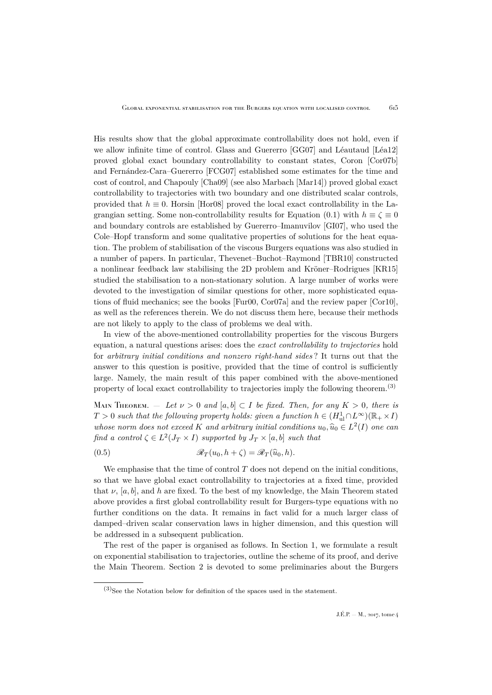His results show that the global approximate controllability does not hold, even if we allow infinite time of control. Glass and Guererro [\[GG07\]](#page-20-2) and Léautaud [\[Léa12\]](#page-20-3) proved global exact boundary controllability to constant states, Coron [\[Cor07b\]](#page-19-2) and Fernández-Cara–Guererro [\[FCG07\]](#page-19-3) established some estimates for the time and cost of control, and Chapouly [\[Cha09\]](#page-19-4) (see also Marbach [\[Mar14\]](#page-20-4)) proved global exact controllability to trajectories with two boundary and one distributed scalar controls, provided that  $h \equiv 0$ . Horsin [\[Hor08\]](#page-20-5) proved the local exact controllability in the La-grangian setting. Some non-controllability results for Equation [\(0.1\)](#page-2-1) with  $h \equiv \zeta \equiv 0$ and boundary controls are established by Guererro–Imanuvilov [\[GI07\]](#page-20-6), who used the Cole–Hopf transform and some qualitative properties of solutions for the heat equation. The problem of stabilisation of the viscous Burgers equations was also studied in a number of papers. In particular, Thevenet–Buchot–Raymond [\[TBR10\]](#page-20-7) constructed a nonlinear feedback law stabilising the 2D problem and Kröner–Rodrigues [\[KR15\]](#page-20-8) studied the stabilisation to a non-stationary solution. A large number of works were devoted to the investigation of similar questions for other, more sophisticated equations of fluid mechanics; see the books [\[Fur00,](#page-19-5) [Cor07a\]](#page-19-6) and the review paper [\[Cor10\]](#page-19-7), as well as the references therein. We do not discuss them here, because their methods are not likely to apply to the class of problems we deal with.

In view of the above-mentioned controllability properties for the viscous Burgers equation, a natural questions arises: does the *exact controllability to trajectories* hold for *arbitrary initial conditions and nonzero right-hand sides* ? It turns out that the answer to this question is positive, provided that the time of control is sufficiently large. Namely, the main result of this paper combined with the above-mentioned property of local exact controllability to trajectories imply the following theorem.<sup>(3)</sup>

Main Theorem. — Let  $\nu > 0$  and  $[a, b] \subset I$  be fixed. Then, for any  $K > 0$ , there is  $T > 0$  such that the following property holds: given a function  $h \in (H^1_{ul} \cap L^{\infty})(\mathbb{R}_+ \times I)$ *whose norm does not exceed* K and arbitrary initial conditions  $u_0, \hat{u}_0 \in L^2(I)$  one can<br> $\mathcal{L}_{\mathcal{L}}(I) \cong L^2(I) \times L^2(I)$  is expanded by L is leader that find a control  $\zeta \in L^2(J_T \times I)$  supported by  $J_T \times [a, b]$  such that

<span id="page-3-0"></span>(0.5) 
$$
\mathscr{R}_T(u_0, h + \zeta) = \mathscr{R}_T(\widehat{u}_0, h).
$$

We emphasise that the time of control  $T$  does not depend on the initial conditions, so that we have global exact controllability to trajectories at a fixed time, provided that  $\nu$ , [a, b], and h are fixed. To the best of my knowledge, the Main Theorem stated above provides a first global controllability result for Burgers-type equations with no further conditions on the data. It remains in fact valid for a much larger class of damped–driven scalar conservation laws in higher dimension, and this question will be addressed in a subsequent publication.

The rest of the paper is organised as follows. In Section [1,](#page-4-0) we formulate a result on exponential stabilisation to trajectories, outline the scheme of its proof, and derive the Main Theorem. Section [2](#page-9-0) is devoted to some preliminaries about the Burgers

 $(3)$ See the Notation below for definition of the spaces used in the statement.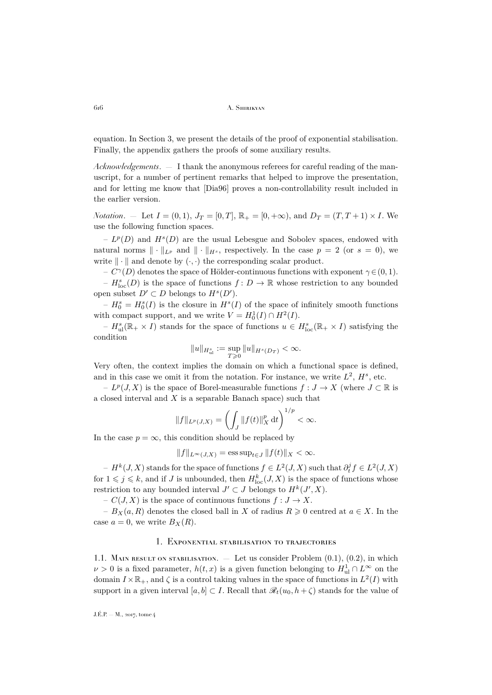equation. In Section [3,](#page-11-0) we present the details of the proof of exponential stabilisation. Finally, the appendix gathers the proofs of some auxiliary results.

*Acknowledgements*. — I thank the anonymous referees for careful reading of the manuscript, for a number of pertinent remarks that helped to improve the presentation, and for letting me know that [\[Dia96\]](#page-19-1) proves a non-controllability result included in the earlier version.

*Notation.* — Let  $I = (0, 1)$ ,  $J_T = [0, T]$ ,  $\mathbb{R}_+ = [0, +\infty)$ , and  $D_T = (T, T + 1) \times I$ . We use the following function spaces.

 $-L^p(D)$  and  $H^s(D)$  are the usual Lebesgue and Sobolev spaces, endowed with natural norms  $\|\cdot\|_{L^p}$  and  $\|\cdot\|_{H^s}$ , respectively. In the case  $p = 2$  (or  $s = 0$ ), we write  $\|\cdot\|$  and denote by  $(\cdot, \cdot)$  the corresponding scalar product.

–  $C^{\gamma}(D)$  denotes the space of Hölder-continuous functions with exponent  $\gamma \in (0,1)$ . –  $H_{\text{loc}}^{s}(D)$  is the space of functions  $f: D \to \mathbb{R}$  whose restriction to any bounded open subset  $D' \subset D$  belongs to  $H^s(D')$ .

 $-H_0^s = H_0^s(I)$  is the closure in  $H^s(I)$  of the space of infinitely smooth functions with compact support, and we write  $V = H_0^1(I) \cap H^2(I)$ .

 $-H_{ul}^{s}(\mathbb{R}_{+}\times I)$  stands for the space of functions  $u\in H_{loc}^{s}(\mathbb{R}_{+}\times I)$  satisfying the condition

$$
\|u\|_{H^{s}_{\rm ul}}:=\sup_{T\geqslant 0}\|u\|_{H^s(D_T)}<\infty.
$$

Very often, the context implies the domain on which a functional space is defined, and in this case we omit it from the notation. For instance, we write  $L^2$ ,  $H^s$ , etc.

–  $L^p(J, X)$  is the space of Borel-measurable functions  $f: J \to X$  (where  $J \subset \mathbb{R}$  is a closed interval and  $X$  is a separable Banach space) such that

$$
||f||_{L^p(J,X)} = \left(\int_J ||f(t)||_X^p dt\right)^{1/p} < \infty.
$$

In the case  $p = \infty$ , this condition should be replaced by

$$
||f||_{L^{\infty}(J,X)} = \operatorname{ess} \operatorname{sup}_{t \in J} ||f(t)||_X < \infty.
$$

 $-H<sup>k</sup>(J, X)$  stands for the space of functions  $f \in L<sup>2</sup>(J, X)$  such that  $\partial_t^j f \in L<sup>2</sup>(J, X)$ for  $1 \leqslant j \leqslant k$ , and if J is unbounded, then  $H^k_{\text{loc}}(J,X)$  is the space of functions whose restriction to any bounded interval  $J' \subset J$  belongs to  $H^k(J', X)$ .

–  $C(J, X)$  is the space of continuous functions  $f: J \to X$ .

–  $B_X(a, R)$  denotes the closed ball in X of radius  $R \geq 0$  centred at  $a \in X$ . In the case  $a = 0$ , we write  $B_X(R)$ .

#### 1. Exponential stabilisation to trajectories

<span id="page-4-0"></span>1.1. MAIN RESULT ON STABILISATION. — Let us consider Problem  $(0.1)$ ,  $(0.2)$ , in which  $\nu > 0$  is a fixed parameter,  $h(t, x)$  is a given function belonging to  $H^1_{ul} \cap L^{\infty}$  on the domain  $I \times \mathbb{R}_+$ , and  $\zeta$  is a control taking values in the space of functions in  $L^2(I)$  with support in a given interval  $[a, b] \subset I$ . Recall that  $\mathcal{R}_t(u_0, h + \zeta)$  stands for the value of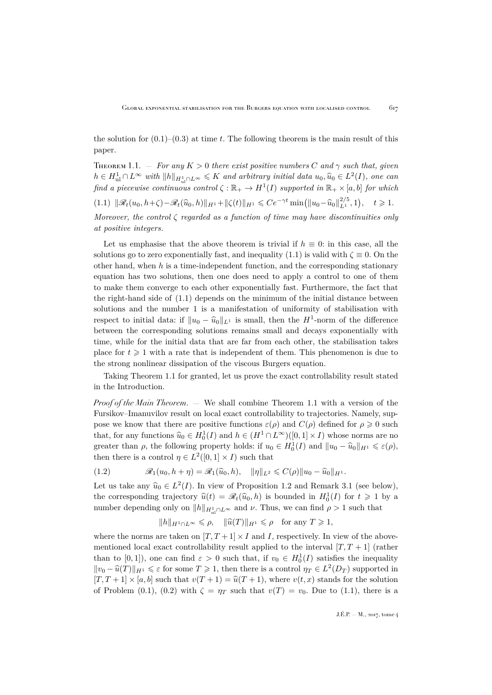the solution for  $(0.1)$ – $(0.3)$  at time t. The following theorem is the main result of this paper.

<span id="page-5-1"></span>THEOREM 1.1. — *For any*  $K > 0$  *there exist positive numbers* C and  $\gamma$  such that, given  $h \in H^1_{ul} \cap L^{\infty}$  with  $||h||_{H^1_{ul} \cap L^{\infty}} \leqslant K$  and arbitrary initial data  $u_0, \hat{u}_0 \in L^2(I)$ , one can *find a piecewise continuous control*  $\zeta : \mathbb{R}_+ \to H^1(I)$  *supported in*  $\mathbb{R}_+ \times [a, b]$  *for which*  $(1.1) \|\mathscr{R}_t(u_0, h+\zeta)-\mathscr{R}_t(\widehat{u}_0, h)\|_{H^1}+\|\zeta(t)\|_{H^1}\leqslant Ce^{-\gamma t}\min(\|u_0-\widehat{u}_0\|_{L^1}^{2/5}, 1), \quad t\geqslant 1.$ 

<span id="page-5-0"></span>*Moreover, the control* ζ *regarded as a function of time may have discontinuities only at positive integers.*

Let us emphasise that the above theorem is trivial if  $h \equiv 0$ : in this case, all the solutions go to zero exponentially fast, and inequality [\(1.1\)](#page-5-0) is valid with  $\zeta \equiv 0$ . On the other hand, when  $h$  is a time-independent function, and the corresponding stationary equation has two solutions, then one does need to apply a control to one of them to make them converge to each other exponentially fast. Furthermore, the fact that the right-hand side of [\(1.1\)](#page-5-0) depends on the minimum of the initial distance between solutions and the number 1 is a manifestation of uniformity of stabilisation with respect to initial data: if  $||u_0 - \hat{u}_0||_{L^1}$  is small, then the  $H^1$ -norm of the difference between the corresponding solutions remains small and decays exponentially with time, while for the initial data that are far from each other, the stabilisation takes place for  $t \geq 1$  with a rate that is independent of them. This phenomenon is due to the strong nonlinear dissipation of the viscous Burgers equation.

Taking Theorem [1.1](#page-5-1) for granted, let us prove the exact controllability result stated in the Introduction.

*Proof of the Main Theorem*. — We shall combine Theorem [1.1](#page-5-1) with a version of the Fursikov–Imanuvilov result on local exact controllability to trajectories. Namely, suppose we know that there are positive functions  $\varepsilon(\rho)$  and  $C(\rho)$  defined for  $\rho \geq 0$  such that, for any functions  $\widehat{u}_0 \in H_0^1(I)$  and  $h \in (H^1 \cap L^{\infty})([0,1] \times I)$  whose norms are no<br>meet us that is following norms who halds if  $u \in H^1(I)$  and  $\lim_{h \to 0} \widehat{u}_h$ greater than  $\rho$ , the following property holds: if  $u_0 \in H_0^1(I)$  and  $||u_0 - \hat{u}_0||_{H^1} \leq \varepsilon(\rho)$ , then there is a control  $\eta \in L^2([0,1] \times I)$  such that

<span id="page-5-2"></span>(1.2) 
$$
\mathscr{R}_1(u_0, h + \eta) = \mathscr{R}_1(\widehat{u}_0, h), \quad \|\eta\|_{L^2} \leq C(\rho) \|u_0 - \widehat{u}_0\|_{H^1}.
$$

Let us take any  $\widehat{u}_0 \in L^2(I)$ . In view of Proposition [1.2](#page-7-0) and Remark [3.1](#page-13-0) (see below), the corresponding trajectory  $\hat{u}(t) = \mathscr{R}_t(\hat{u}_0, h)$  is bounded in  $H_0^1(I)$  for  $t \geq 1$  by a number depending only on  $||h||_{H^1_{ul} \cap L^{\infty}}$  and  $\nu$ . Thus, we can find  $\rho > 1$  such that

$$
||h||_{H^1 \cap L^{\infty}} \leq \rho, \quad ||\widehat{u}(T)||_{H^1} \leq \rho \quad \text{for any } T \geq 1,
$$

where the norms are taken on  $[T, T+1] \times I$  and I, respectively. In view of the abovementioned local exact controllability result applied to the interval  $[T, T + 1]$  (rather than to  $[0,1]$ ), one can find  $\varepsilon > 0$  such that, if  $v_0 \in H_0^1(I)$  satisfies the inequality  $||v_0 - \hat{u}(T)||_{H^1} \leq \varepsilon$  for some  $T \geq 1$ , then there is a control  $\eta_T \in L^2(D_T)$  supported in  $[T, T + 1] \times [a, b]$  such that  $v(T + 1) = \hat{u}(T + 1)$ , where  $v(t, x)$  stands for the solution of Problem [\(0.1\)](#page-2-1), [\(0.2\)](#page-2-2) with  $\zeta = \eta_T$  such that  $v(T) = v_0$ . Due to [\(1.1\)](#page-5-0), there is a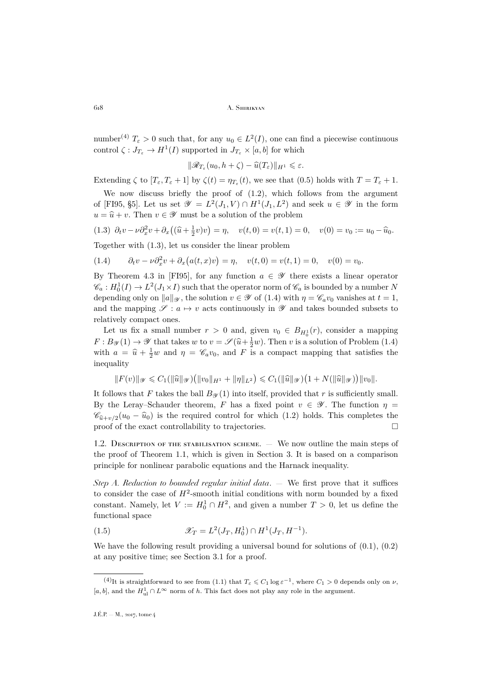number<sup>(4)</sup>  $T_{\varepsilon} > 0$  such that, for any  $u_0 \in L^2(I)$ , one can find a piecewise continuous control  $\zeta: J_{T_{\varepsilon}} \to H^1(I)$  supported in  $J_{T_{\varepsilon}} \times [a, b]$  for which

$$
\|\mathscr{R}_{T_{\varepsilon}}(u_0,h+\zeta)-\widehat{u}(T_{\varepsilon})\|_{H^1}\leqslant\varepsilon.
$$

Extending  $\zeta$  to  $[T_{\varepsilon}, T_{\varepsilon} + 1]$  by  $\zeta(t) = \eta_{T_{\varepsilon}}(t)$ , we see that  $(0.5)$  holds with  $T = T_{\varepsilon} + 1$ .

We now discuss briefly the proof of [\(1.2\)](#page-5-2), which follows from the argument of [\[FI95,](#page-20-0) §5]. Let us set  $\mathscr{Y} = L^2(J_1, V) \cap H^1(J_1, L^2)$  and seek  $u \in \mathscr{Y}$  in the form  $u = \hat{u} + v$ . Then  $v \in \mathscr{Y}$  must be a solution of the problem

<span id="page-6-0"></span>(1.3) 
$$
\partial_t v - \nu \partial_x^2 v + \partial_x ((\hat{u} + \frac{1}{2}v)v) = \eta
$$
,  $v(t, 0) = v(t, 1) = 0$ ,  $v(0) = v_0 := u_0 - \hat{u}_0$ . Together with (1.3), let us consider the linear problem

<span id="page-6-1"></span>(1.4) 
$$
\partial_t v - \nu \partial_x^2 v + \partial_x (a(t, x)v) = \eta, \quad v(t, 0) = v(t, 1) = 0, \quad v(0) = v_0.
$$

By Theorem 4.3 in [\[FI95\]](#page-20-0), for any function  $a \in \mathscr{Y}$  there exists a linear operator  $\mathscr{C}_a: H_0^1(I) \to L^2(J_1 \times I)$  such that the operator norm of  $\mathscr{C}_a$  is bounded by a number N depending only on  $||a||_{\mathscr{Y}}$ , the solution  $v \in \mathscr{Y}$  of [\(1.4\)](#page-6-1) with  $\eta = \mathscr{C}_a v_0$  vanishes at  $t = 1$ , and the mapping  $\mathscr{S} : a \mapsto v$  acts continuously in  $\mathscr{Y}$  and takes bounded subsets to relatively compact ones.

Let us fix a small number  $r > 0$  and, given  $v_0 \in B_{H_0^1}(r)$ , consider a mapping  $F: B_{\mathscr{Y}}(1) \to \mathscr{Y}$  that takes w to  $v = \mathscr{S}(\hat{u} + \frac{1}{2}w)$ . Then v is a solution of Problem [\(1.4\)](#page-6-1) with  $a = \hat{u} + \frac{1}{2}w$  and  $\eta = \mathscr{C}_a v_0$ , and F is a compact mapping that satisfies the inequality

$$
||F(v)||_{\mathscr{Y}} \leq C_1(||\widehat{u}||_{\mathscr{Y}})(||v_0||_{H^1} + ||\eta||_{L^2}) \leq C_1(||\widehat{u}||_{\mathscr{Y}})(1 + N(||\widehat{u}||_{\mathscr{Y}}))||v_0||.
$$

It follows that F takes the ball  $B_{\mathcal{Y}}(1)$  into itself, provided that r is sufficiently small. By the Leray–Schauder theorem, F has a fixed point  $v \in \mathscr{Y}$ . The function  $\eta =$  $\mathscr{C}_{\hat{u}+v/2}(u_0 - \hat{u}_0)$  is the required control for which [\(1.2\)](#page-5-2) holds. This completes the proof of the exact controllability to trajectories proof of the exact controllability to trajectories.

1.2. Description of the stabilisation scheme. — We now outline the main steps of the proof of Theorem [1.1,](#page-5-1) which is given in Section [3.](#page-11-0) It is based on a comparison principle for nonlinear parabolic equations and the Harnack inequality.

*Step A. Reduction to bounded regular initial data*. — We first prove that it suffices to consider the case of  $H^2$ -smooth initial conditions with norm bounded by a fixed constant. Namely, let  $V := H_0^1 \cap H^2$ , and given a number  $T > 0$ , let us define the functional space

(1.5) 
$$
\mathcal{X}_T = L^2(J_T, H_0^1) \cap H^1(J_T, H^{-1}).
$$

We have the following result providing a universal bound for solutions of  $(0.1)$ ,  $(0.2)$ at any positive time; see Section [3.1](#page-11-1) for a proof.

<sup>&</sup>lt;sup>(4)</sup>It is straightforward to see from [\(1.1\)](#page-5-0) that  $T_{\varepsilon} \leq C_1 \log \varepsilon^{-1}$ , where  $C_1 > 0$  depends only on  $\nu$ ,  $[a, b]$ , and the  $H^1_{ul} \cap L^\infty$  norm of h. This fact does not play any role in the argument.

J.É.P. — M., 2017, tome 4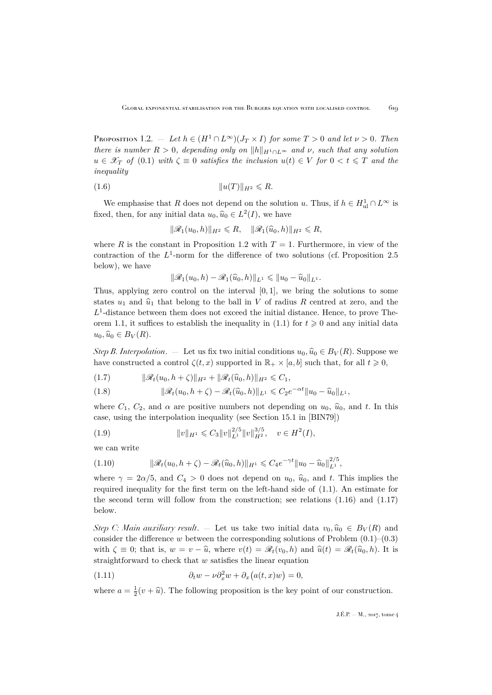<span id="page-7-0"></span>PROPOSITION 1.2. — Let  $h \in (H^1 \cap L^{\infty})(J_T \times I)$  *for some*  $T > 0$  *and let*  $\nu > 0$ *. Then there is number*  $R > 0$ *, depending only on*  $||h||_{H_1 \cap L^{\infty}}$  *and*  $\nu$ *, such that any solution*  $u \in \mathscr{X}_T$  *of* [\(0.1\)](#page-2-1) *with*  $\zeta \equiv 0$  *satisfies the inclusion*  $u(t) \in V$  *for*  $0 < t \leq T$  *and the inequality*

(1.6) ku(T)kH<sup>2</sup> 6 R.

We emphasise that R does not depend on the solution u. Thus, if  $h \in H^1_{ul} \cap L^{\infty}$  is fixed, then, for any initial data  $u_0, \hat{u}_0 \in L^2(I)$ , we have

<span id="page-7-4"></span>
$$
\|\mathscr{R}_1(u_0,h)\|_{H^2}\leq R, \quad \|\mathscr{R}_1(\widehat{u}_0,h)\|_{H^2}\leq R,
$$

where R is the constant in Proposition [1.2](#page-7-0) with  $T = 1$ . Furthermore, in view of the contraction of the  $L^1$ -norm for the difference of two solutions (cf. Proposition [2.5](#page-11-2) below), we have

$$
\|\mathscr{R}_1(u_0,h)-\mathscr{R}_1(\widehat{u}_0,h)\|_{L^1}\leq \|u_0-\widehat{u}_0\|_{L^1}.
$$

Thus, applying zero control on the interval  $[0, 1]$ , we bring the solutions to some states  $u_1$  and  $\hat{u}_1$  that belong to the ball in V of radius R centred at zero, and the  $L<sup>1</sup>$ -distance between them does not exceed the initial distance. Hence, to prove The-orem [1.1,](#page-5-1) it suffices to establish the inequality in [\(1.1\)](#page-5-0) for  $t \geq 0$  and any initial data  $u_0, \widehat{u}_0 \in B_V(R)$ .

*Step B. Interpolation.* — Let us fix two initial conditions  $u_0, \hat{u}_0 \in B_V(R)$ . Suppose we have constructed a control  $\zeta(t, x)$  supported in  $\mathbb{R}_+ \times [a, b]$  such that, for all  $t \geq 0$ ,

<span id="page-7-3"></span>
$$
(1.7) \t\t ||\mathscr{R}_t(u_0, h + \zeta)||_{H^2} + ||\mathscr{R}_t(\widehat{u}_0, h)||_{H^2} \leq C_1,
$$

<span id="page-7-2"></span>(1.8) 
$$
\|\mathscr{R}_{t}(u_{0}, h+\zeta)-\mathscr{R}_{t}(\widehat{u}_{0}, h)\|_{L^{1}} \leqslant C_{2}e^{-\alpha t}\|u_{0}-\widehat{u}_{0}\|_{L^{1}},
$$

where  $C_1$ ,  $C_2$ , and  $\alpha$  are positive numbers not depending on  $u_0$ ,  $\hat{u}_0$ , and t. In this case, using the interpolation inequality (see Section 15.1 in [\[BIN79\]](#page-19-8))

$$
(1.9) \t\t\t ||v||_{H^1} \leqslant C_3 ||v||_{L^1}^{2/5} ||v||_{H^2}^{3/5}, \quad v \in H^2(I),
$$

we can write

(1.10) 
$$
\|\mathscr{R}_t(u_0, h + \zeta) - \mathscr{R}_t(\widehat{u}_0, h)\|_{H^1} \leq C_4 e^{-\gamma t} \|u_0 - \widehat{u}_0\|_{L^1}^{2/5},
$$

where  $\gamma = 2\alpha/5$ , and  $C_4 > 0$  does not depend on  $u_0$ ,  $\hat{u}_0$ , and t. This implies the required inequality for the first term on the left-hand side of [\(1.1\)](#page-5-0). An estimate for the second term will follow from the construction; see relations [\(1.16\)](#page-9-1) and [\(1.17\)](#page-9-2) below.

*Step C: Main auxiliary result.* — Let us take two initial data  $v_0, \hat{u}_0 \in B_V(R)$  and consider the difference w between the corresponding solutions of Problem  $(0.1)$ – $(0.3)$ with  $\zeta \equiv 0$ ; that is,  $w = v - \hat{u}$ , where  $v(t) = \mathcal{R}_t(v_0, h)$  and  $\hat{u}(t) = \mathcal{R}_t(\hat{u}_0, h)$ . It is straightforward to check that  $w$  satisfies the linear equation

<span id="page-7-1"></span>(1.11) 
$$
\partial_t w - \nu \partial_x^2 w + \partial_x (a(t, x)w) = 0,
$$

where  $a = \frac{1}{2}(v + \hat{u})$ . The following proposition is the key point of our construction.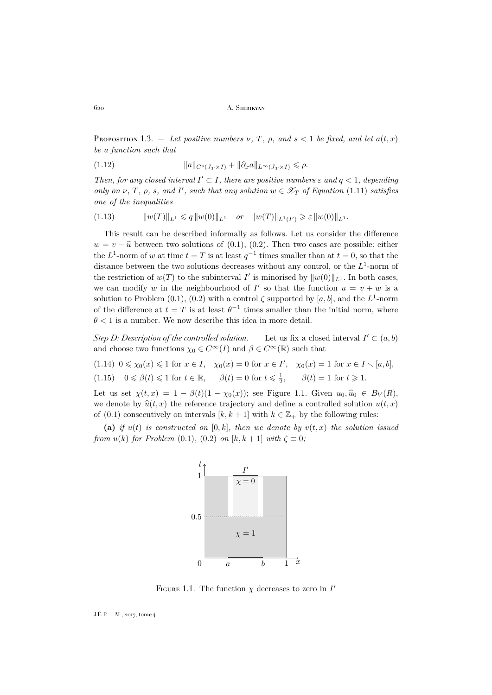<span id="page-8-1"></span>PROPOSITION 1.3. — Let positive numbers  $\nu$ , T,  $\rho$ , and  $s < 1$  be fixed, and let  $a(t, x)$ *be a function such that*

<span id="page-8-3"></span>(1.12) 
$$
\|a\|_{C^s(J_T\times I)} + \|\partial_x a\|_{L^\infty(J_T\times I)} \leq \rho.
$$

Then, for any closed interval  $I' \subset I$ , there are positive numbers  $\varepsilon$  and  $q < 1$ , depending *only on*  $\nu$ ,  $T$ ,  $\rho$ ,  $s$ , and  $I'$ , such that any solution  $w \in \mathscr{X}_T$  of Equation [\(1.11\)](#page-7-1) satisfies *one of the inequalities*

<span id="page-8-2"></span>
$$
(1.13) \t\t ||w(T)||_{L^{1}} \leqslant q ||w(0)||_{L^{1}} \t or \t ||w(T)||_{L^{1}(I')} \geqslant \varepsilon ||w(0)||_{L^{1}}.
$$

This result can be described informally as follows. Let us consider the difference  $w = v - \hat{u}$  between two solutions of [\(0.1\)](#page-2-1), [\(0.2\)](#page-2-2). Then two cases are possible: either the  $L^1$ -norm of w at time  $t = T$  is at least  $q^{-1}$  times smaller than at  $t = 0$ , so that the distance between the two solutions decreases without any control, or the  $L^1$ -norm of the restriction of  $w(T)$  to the subinterval I' is minorised by  $||w(0)||_{L^1}$ . In both cases, we can modify w in the neighbourhood of I' so that the function  $u = v + w$  is a solution to Problem [\(0.1\)](#page-2-1), [\(0.2\)](#page-2-2) with a control  $\zeta$  supported by [a, b], and the L<sup>1</sup>-norm of the difference at  $t = T$  is at least  $\theta^{-1}$  times smaller than the initial norm, where  $\theta$  < 1 is a number. We now describe this idea in more detail.

*Step D: Description of the controlled solution.*  $\blacksquare$  Let us fix a closed interval  $I' \subset (a, b)$ and choose two functions  $\chi_0 \in C^{\infty}(\overline{I})$  and  $\beta \in C^{\infty}(\mathbb{R})$  such that

<span id="page-8-5"></span><span id="page-8-4"></span> $(1.14) \ \ 0 \le \chi_0(x) \le 1 \ \text{for} \ x \in I, \ \ \chi_0(x) = 0 \ \text{for} \ x \in I', \ \ \chi_0(x) = 1 \ \text{for} \ x \in I \setminus [a, b],$ (1.15)  $0 \le \beta(t) \le 1$  for  $t \in \mathbb{R}$ ,  $\beta(t) = 0$  for  $t \le \frac{1}{2}$ ,  $\beta(t) = 1$  for  $t \ge 1$ .

Let us set  $\chi(t, x) = 1 - \beta(t)(1 - \chi_0(x))$ ; see Figure [1.1.](#page-8-0) Given  $u_0, \hat{u}_0 \in B_V(R)$ , we denote by  $\hat{u}(t, x)$  the reference trajectory and define a controlled solution  $u(t, x)$ of [\(0.1\)](#page-2-1) consecutively on intervals  $[k, k+1]$  with  $k \in \mathbb{Z}_+$  by the following rules:

(a) *if*  $u(t)$  *is constructed on* [0, k]*, then we denote by*  $v(t, x)$  *the solution issued from*  $u(k)$  *for Problem* [\(0.1\)](#page-2-1), [\(0.2\)](#page-2-2) *on* [k, k + 1] *with*  $\zeta \equiv 0$ ;



<span id="page-8-0"></span>FIGURE 1.1. The function  $\chi$  decreases to zero in  $I'$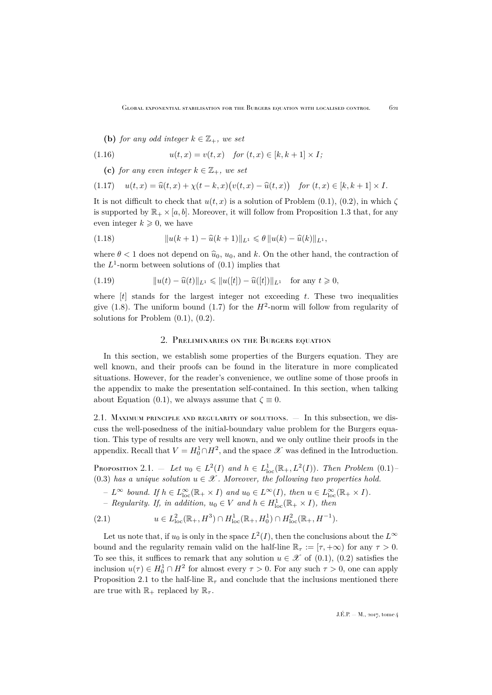<span id="page-9-1"></span>**(b)** *for any odd integer*  $k \in \mathbb{Z}_+$ *, we set* 

(1.16) 
$$
u(t,x) = v(t,x) \text{ for } (t,x) \in [k,k+1] \times I;
$$

<span id="page-9-2"></span>**(c)** *for any even integer*  $k \in \mathbb{Z}_+$ *, we set* 

$$
(1.17) \quad u(t,x) = \widehat{u}(t,x) + \chi(t-k,x)\big(v(t,x) - \widehat{u}(t,x)\big) \quad \text{for } (t,x) \in [k,k+1] \times I.
$$

It is not difficult to check that  $u(t, x)$  is a solution of Problem [\(0.1\)](#page-2-1), [\(0.2\)](#page-2-2), in which  $\zeta$ is supported by  $\mathbb{R}_+ \times [a, b]$ . Moreover, it will follow from Proposition [1.3](#page-8-1) that, for any even integer  $k \geqslant 0$ , we have

<span id="page-9-5"></span>(1.18) 
$$
||u(k+1) - \widehat{u}(k+1)||_{L^1} \leq \theta ||u(k) - \widehat{u}(k)||_{L^1},
$$

where  $\theta$  < 1 does not depend on  $\hat{u}_0$ ,  $u_0$ , and k. On the other hand, the contraction of the  $L^1$ -norm between solutions of  $(0.1)$  implies that

<span id="page-9-4"></span>(1.19) 
$$
||u(t) - \widehat{u}(t)||_{L^{1}} \leq ||u([t]) - \widehat{u}([t])||_{L^{1}} \text{ for any } t \geq 0,
$$

where  $[t]$  stands for the largest integer not exceeding t. These two inequalities give [\(1.8\)](#page-7-2). The uniform bound [\(1.7\)](#page-7-3) for the  $H^2$ -norm will follow from regularity of solutions for Problem  $(0.1)$ ,  $(0.2)$ .

### 2. Preliminaries on the Burgers equation

<span id="page-9-0"></span>In this section, we establish some properties of the Burgers equation. They are well known, and their proofs can be found in the literature in more complicated situations. However, for the reader's convenience, we outline some of those proofs in the appendix to make the presentation self-contained. In this section, when talking about Equation [\(0.1\)](#page-2-1), we always assume that  $\zeta \equiv 0$ .

2.1. Maximum principle and regularity of solutions. — In this subsection, we discuss the well-posedness of the initial-boundary value problem for the Burgers equation. This type of results are very well known, and we only outline their proofs in the appendix. Recall that  $V = H_0^1 \cap H^2$ , and the space  $\mathscr X$  was defined in the Introduction.

<span id="page-9-3"></span>PROPOSITION 2.1. — Let  $u_0 \in L^2(I)$  and  $h \in L^1_{loc}(\mathbb{R}_+, L^2(I))$ . Then Problem [\(0.1\)](#page-2-1)-[\(0.3\)](#page-2-3) has a unique solution  $u \in \mathcal{X}$ . Moreover, the following two properties hold.

$$
- L^{\infty} \text{ bound. If } h \in L^{\infty}_{loc}(\mathbb{R}_+ \times I) \text{ and } u_0 \in L^{\infty}(I), \text{ then } u \in L^{\infty}_{loc}(\mathbb{R}_+ \times I).
$$

<span id="page-9-6"></span> $-$  *Regularity. If, in addition,*  $u_0 \in V$  *and*  $h \in H_{loc}^1(\mathbb{R}_+ \times I)$ *, then* 

(2.1) 
$$
u \in L^2_{loc}(\mathbb{R}_+, H^3) \cap H^1_{loc}(\mathbb{R}_+, H^1_0) \cap H^2_{loc}(\mathbb{R}_+, H^{-1}).
$$

Let us note that, if  $u_0$  is only in the space  $L^2(I)$ , then the conclusions about the  $L^{\infty}$ bound and the regularity remain valid on the half-line  $\mathbb{R}_{\tau} := [\tau, +\infty)$  for any  $\tau > 0$ . To see this, it suffices to remark that any solution  $u \in \mathcal{X}$  of [\(0.1\)](#page-2-1), [\(0.2\)](#page-2-2) satisfies the inclusion  $u(\tau) \in H_0^1 \cap H^2$  for almost every  $\tau > 0$ . For any such  $\tau > 0$ , one can apply Proposition [2.1](#page-9-3) to the half-line  $\mathbb{R}_{\tau}$  and conclude that the inclusions mentioned there are true with  $\mathbb{R}_+$  replaced by  $\mathbb{R}_+$ .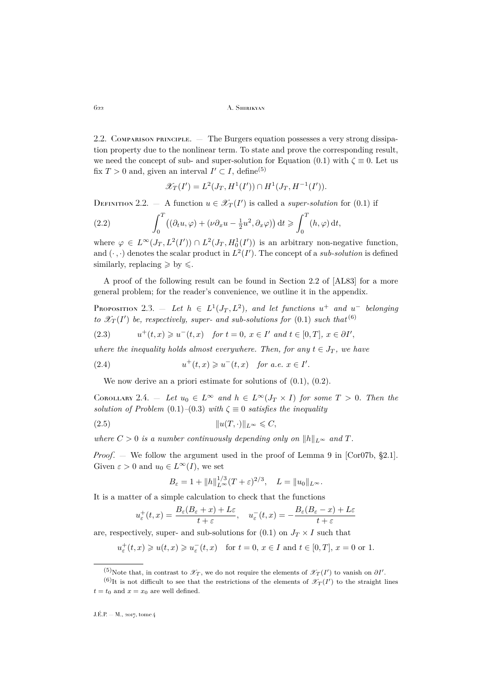2.2. Comparison principle. — The Burgers equation possesses a very strong dissipation property due to the nonlinear term. To state and prove the corresponding result, we need the concept of sub- and super-solution for Equation [\(0.1\)](#page-2-1) with  $\zeta \equiv 0$ . Let us fix  $T > 0$  and, given an interval  $I' \subset I$ , define<sup>(5)</sup>

<span id="page-10-3"></span>
$$
\mathscr{X}_T(I') = L^2(J_T, H^1(I')) \cap H^1(J_T, H^{-1}(I')).
$$

DEFINITION 2.2. — A function  $u \in \mathscr{X}_T(I')$  is called a *super-solution* for [\(0.1\)](#page-2-1) if

(2.2) 
$$
\int_0^T \left( (\partial_t u, \varphi) + (\nu \partial_x u - \frac{1}{2} u^2, \partial_x \varphi) \right) dt \geqslant \int_0^T (h, \varphi) dt,
$$

where  $\varphi \in L^{\infty}(J_T, L^2(I')) \cap L^2(J_T, H_0^1(I'))$  is an arbitrary non-negative function, and  $(\cdot, \cdot)$  denotes the scalar product in  $L^2(I')$ . The concept of a *sub-solution* is defined similarly, replacing  $\geqslant$  by  $\leqslant$ .

A proof of the following result can be found in Section 2.2 of [\[AL83\]](#page-19-9) for a more general problem; for the reader's convenience, we outline it in the appendix.

<span id="page-10-0"></span>PROPOSITION 2.3.  $-$  *Let*  $h \in L^1(J_T, L^2)$ , and let functions  $u^+$  and  $u^-$  belonging *to*  $\mathscr{X}_T(I')$  *be, respectively, super- and sub-solutions for*  $(0.1)$  *such that*<sup> $(6)$ </sup>

$$
(2.3) \t u^+(t,x) \geq u^-(t,x) \t for t = 0, x \in I' \t and t \in [0,T], x \in \partial I',
$$

*where the inequality holds almost everywhere. Then, for any*  $t \in J_T$ *, we have* 

(2.4) 
$$
u^+(t,x) \geq u^-(t,x) \quad \text{for a.e. } x \in I'.
$$

<span id="page-10-4"></span>We now derive an a priori estimate for solutions of  $(0.1)$ ,  $(0.2)$ .

<span id="page-10-2"></span>COROLLARY 2.4. — Let  $u_0 \in L^{\infty}$  and  $h \in L^{\infty}(J_T \times I)$  for some  $T > 0$ . Then the *solution of Problem* [\(0.1\)](#page-2-1)–[\(0.3\)](#page-2-3) *with*  $\zeta \equiv 0$  *satisfies the inequality* 

(2.5) ku(T, ·)kL<sup>∞</sup> 6 C,

*where*  $C > 0$  *is a number continuously depending only on*  $||h||_{L^{\infty}}$  *and*  $T$ *.* 

*Proof.* — We follow the argument used in the proof of Lemma 9 in [\[Cor07b,](#page-19-2) §2.1]. Given  $\varepsilon > 0$  and  $u_0 \in L^{\infty}(I)$ , we set

<span id="page-10-1"></span>
$$
B_{\varepsilon} = 1 + ||h||_{L^{\infty}}^{1/3} (T + \varepsilon)^{2/3}, \quad L = ||u_0||_{L^{\infty}}.
$$

It is a matter of a simple calculation to check that the functions

$$
u_{\varepsilon}^{+}(t,x) = \frac{B_{\varepsilon}(B_{\varepsilon}+x) + L\varepsilon}{t+\varepsilon}, \quad u_{\varepsilon}^{-}(t,x) = -\frac{B_{\varepsilon}(B_{\varepsilon}-x) + L\varepsilon}{t+\varepsilon}
$$

are, respectively, super- and sub-solutions for  $(0.1)$  on  $J_T \times I$  such that

 $u_{\varepsilon}^{+}(t,x) \geq u(t,x) \geq u_{\varepsilon}^{-}(t,x) \quad \text{for } t = 0, x \in I \text{ and } t \in [0,T], x = 0 \text{ or } 1.$ 

<sup>&</sup>lt;sup>(5)</sup>Note that, in contrast to  $\mathscr{X}_T$ , we do not require the elements of  $\mathscr{X}_T(I')$  to vanish on  $\partial I'$ .

<sup>&</sup>lt;sup>(6)</sup>It is not difficult to see that the restrictions of the elements of  $\mathscr{X}_T(I')$  to the straight lines  $t = t_0$  and  $x = x_0$  are well defined.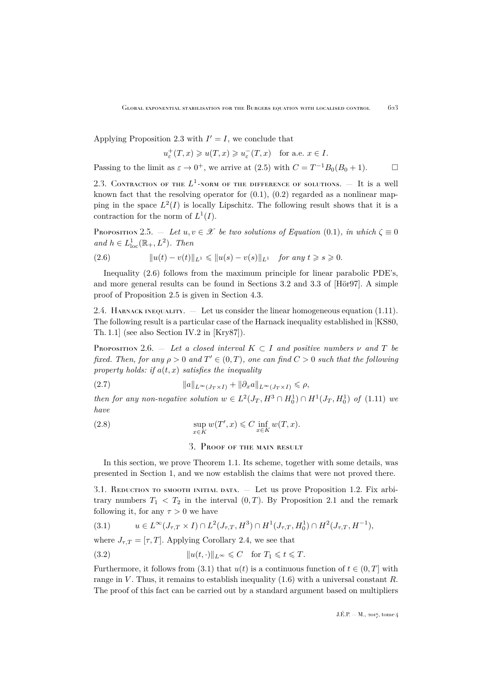Applying Proposition [2.3](#page-10-0) with  $I' = I$ , we conclude that

$$
u_{\varepsilon}^+(T,x)\geqslant u(T,x)\geqslant u_{\varepsilon}^-(T,x)\quad\text{for a.e. }x\in I.
$$

Passing to the limit as  $\varepsilon \to 0^+$ , we arrive at [\(2.5\)](#page-10-1) with  $C = T^{-1}B_0(B_0 + 1)$ .

2.3. CONTRACTION OF THE  $L^1$ -NORM OF THE DIFFERENCE OF SOLUTIONS.  $-$  It is a well known fact that the resolving operator for  $(0.1)$ ,  $(0.2)$  regarded as a nonlinear mapping in the space  $L^2(I)$  is locally Lipschitz. The following result shows that it is a contraction for the norm of  $L^1(I)$ .

<span id="page-11-2"></span>Proposition 2.5.  $-$  *Let*  $u, v \in \mathcal{X}$  *be two solutions of Equation* [\(0.1\)](#page-2-1)*, in which*  $\zeta \equiv 0$  $and h \in L^1_{loc}(\mathbb{R}_+, L^2)$ *. Then* 

<span id="page-11-3"></span>(2.6) 
$$
||u(t) - v(t)||_{L^1} \le ||u(s) - v(s)||_{L^1} \text{ for any } t \ge s \ge 0.
$$

Inequality [\(2.6\)](#page-11-3) follows from the maximum principle for linear parabolic PDE's, and more general results can be found in Sections 3.2 and 3.3 of [\[Hör97\]](#page-20-9). A simple proof of Proposition [2.5](#page-11-2) is given in Section [4.3.](#page-18-0)

2.4. HARNACK INEQUALITY.  $-$  Let us consider the linear homogeneous equation [\(1.11\)](#page-7-1). The following result is a particular case of the Harnack inequality established in [\[KS80,](#page-20-10) Th. 1.1] (see also Section IV.2 in [\[Kry87\]](#page-20-11)).

<span id="page-11-6"></span>PROPOSITION 2.6. — Let a closed interval  $K \subset I$  and positive numbers  $\nu$  and  $T$  be *fixed. Then, for any*  $\rho > 0$  *and*  $T' \in (0, T)$ *, one can find*  $C > 0$  *such that the following* property holds: if  $a(t, x)$  satisfies the inequality

(2.7) 
$$
||a||_{L^{\infty}(J_T \times I)} + ||\partial_x a||_{L^{\infty}(J_T \times I)} \leq \rho,
$$

*then for any non-negative solution*  $w \in L^2(J_T, H^3 \cap H_0^1) \cap H^1(J_T, H_0^1)$  of  $(1.11)$  we *have*

(2.8) 
$$
\sup_{x \in K} w(T', x) \leq C \inf_{x \in K} w(T, x).
$$

<span id="page-11-7"></span>3. Proof of the main result

<span id="page-11-0"></span>In this section, we prove Theorem [1.1.](#page-5-1) Its scheme, together with some details, was presented in Section [1,](#page-4-0) and we now establish the claims that were not proved there.

<span id="page-11-1"></span>3.1. REDUCTION TO SMOOTH INITIAL DATA. — Let us prove Proposition [1.2.](#page-7-0) Fix arbitrary numbers  $T_1 < T_2$  in the interval  $(0, T)$ . By Proposition [2.1](#page-9-3) and the remark following it, for any  $\tau > 0$  we have

<span id="page-11-4"></span>
$$
(3.1) \t u \in L^{\infty}(J_{\tau,T} \times I) \cap L^{2}(J_{\tau,T}, H^{3}) \cap H^{1}(J_{\tau,T}, H^{1}_{0}) \cap H^{2}(J_{\tau,T}, H^{-1}),
$$

where  $J_{\tau,T} = [\tau, T]$ . Applying Corollary [2.4,](#page-10-2) we see that

<span id="page-11-5"></span>(3.2) 
$$
||u(t, \cdot)||_{L^{\infty}} \leq C \quad \text{for } T_1 \leq t \leq T.
$$

Furthermore, it follows from [\(3.1\)](#page-11-4) that  $u(t)$  is a continuous function of  $t \in (0, T]$  with range in V. Thus, it remains to establish inequality  $(1.6)$  with a universal constant R. The proof of this fact can be carried out by a standard argument based on multipliers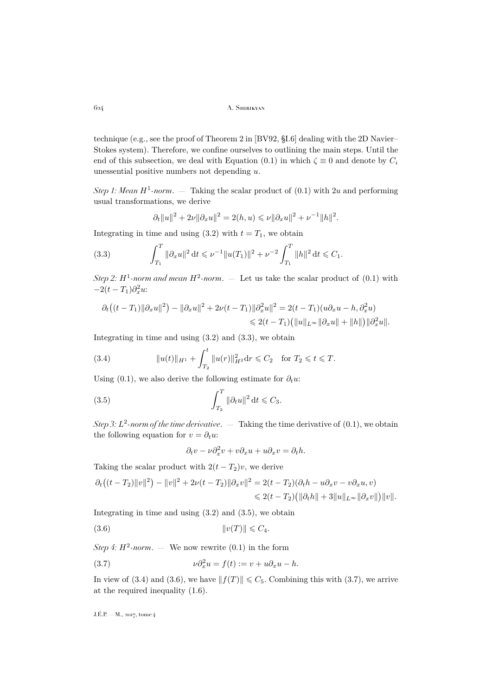technique (e.g., see the proof of Theorem 2 in [\[BV92,](#page-19-10) §I.6] dealing with the 2D Navier– Stokes system). Therefore, we confine ourselves to outlining the main steps. Until the end of this subsection, we deal with Equation [\(0.1\)](#page-2-1) in which  $\zeta \equiv 0$  and denote by  $C_i$ unessential positive numbers not depending u.

*Step 1: Mean*  $H^1$ -norm.  $-$  Taking the scalar product of  $(0.1)$  with 2u and performing usual transformations, we derive

<span id="page-12-0"></span>
$$
\partial_t ||u||^2 + 2\nu ||\partial_x u||^2 = 2(h, u) \leq \nu ||\partial_x u||^2 + \nu^{-1} ||h||^2.
$$

Integrating in time and using [\(3.2\)](#page-11-5) with  $t = T_1$ , we obtain

(3.3) 
$$
\int_{T_1}^T \|\partial_x u\|^2 dt \leq \nu^{-1} \|u(T_1)\|^2 + \nu^{-2} \int_{T_1}^T \|h\|^2 dt \leq C_1.
$$

*Step 2:*  $H^1$ -norm and mean  $H^2$ -norm.  $-$  Let us take the scalar product of  $(0.1)$  with  $-2(t-T_1)\partial_x^2 u$ 

$$
\partial_t ((t - T_1) ||\partial_x u||^2) - ||\partial_x u||^2 + 2\nu(t - T_1) ||\partial_x^2 u||^2 = 2(t - T_1)(u\partial_x u - h, \partial_x^2 u)
$$
  
\$\leq 2(t - T\_1)(||u||\_{L^{\infty}} ||\partial\_x u|| + ||h||) ||\partial\_x^2 u||.

Integrating in time and using  $(3.2)$  and  $(3.3)$ , we obtain

<span id="page-12-2"></span>(3.4) 
$$
||u(t)||_{H^1} + \int_{T_2}^t ||u(r)||_{H^2}^2 dr \leq C_2 \quad \text{for } T_2 \leq t \leq T.
$$

Using [\(0.1\)](#page-2-1), we also derive the following estimate for  $\partial_t u$ :

(3.5) 
$$
\int_{T_2}^T \|\partial_t u\|^2 dt \leqslant C_3.
$$

*Step 3: L*<sup>2</sup>-norm of the time derivative.  $-$  Taking the time derivative of  $(0.1)$ , we obtain the following equation for  $v = \partial_t u$ :

<span id="page-12-3"></span><span id="page-12-1"></span>
$$
\partial_t v - \nu \partial_x^2 v + v \partial_x u + u \partial_x v = \partial_t h.
$$

Taking the scalar product with  $2(t - T_2)v$ , we derive

$$
\partial_t ((t - T_2) ||v||^2) - ||v||^2 + 2\nu(t - T_2) ||\partial_x v||^2 = 2(t - T_2)(\partial_t h - u\partial_x v - v\partial_x u, v) \n\leq 2(t - T_2) (||\partial_t h|| + 3||u||_{L^{\infty}} ||\partial_x v||) ||v||.
$$

Integrating in time and using  $(3.2)$  and  $(3.5)$ , we obtain

$$
(3.6) \t\t\t ||v(T)|| \leqslant C_4.
$$

*Step 4:*  $H^2$ -norm.  $-$  We now rewrite  $(0.1)$  in the form

<span id="page-12-4"></span>(3.7) 
$$
\nu \partial_x^2 u = f(t) := v + u \partial_x u - h.
$$

In view of [\(3.4\)](#page-12-2) and [\(3.6\)](#page-12-3), we have  $|| f(T) || \le C_5$ . Combining this with [\(3.7\)](#page-12-4), we arrive at the required inequality [\(1.6\)](#page-7-4).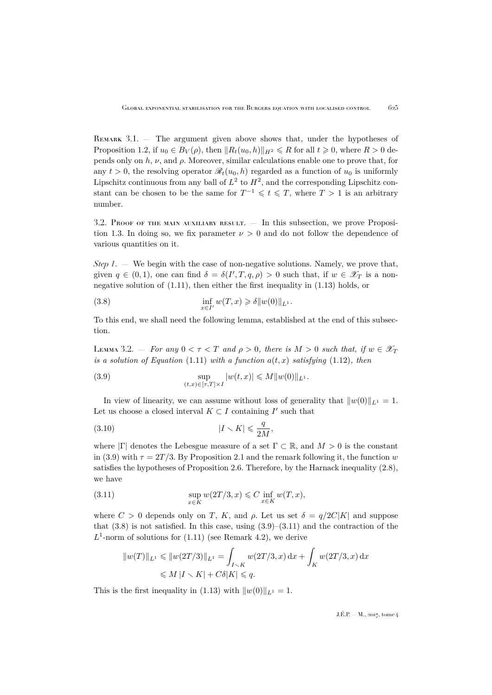<span id="page-13-0"></span>REMARK  $3.1.$  — The argument given above shows that, under the hypotheses of Proposition [1.2,](#page-7-0) if  $u_0 \in B_V(\rho)$ , then  $||R_t(u_0, h)||_{H^2} \le R$  for all  $t \ge 0$ , where  $R > 0$  depends only on  $h, \nu$ , and  $\rho$ . Moreover, similar calculations enable one to prove that, for any  $t > 0$ , the resolving operator  $\mathcal{R}_t(u_0, h)$  regarded as a function of  $u_0$  is uniformly Lipschitz continuous from any ball of  $L^2$  to  $H^2$ , and the corresponding Lipschitz constant can be chosen to be the same for  $T^{-1} \leqslant t \leqslant T$ , where  $T > 1$  is an arbitrary number.

<span id="page-13-5"></span>3.2. Proof of the main auxiliary result. — In this subsection, we prove Proposi-tion [1.3.](#page-8-1) In doing so, we fix parameter  $\nu > 0$  and do not follow the dependence of various quantities on it.

*Step 1*. — We begin with the case of non-negative solutions. Namely, we prove that, given  $q \in (0,1)$ , one can find  $\delta = \delta(I', T, q, \rho) > 0$  such that, if  $w \in \mathscr{X}_T$  is a nonnegative solution of [\(1.11\)](#page-7-1), then either the first inequality in [\(1.13\)](#page-8-2) holds, or

<span id="page-13-2"></span>(3.8) 
$$
\inf_{x \in I'} w(T, x) \geq \delta ||w(0)||_{L^1}.
$$

To this end, we shall need the following lemma, established at the end of this subsection.

<span id="page-13-4"></span>LEMMA 3.2.  $-$  *For any*  $0 < \tau < T$  *and*  $\rho > 0$ *, there is*  $M > 0$  *such that, if*  $w \in \mathscr{X}_T$ *is a solution of Equation* [\(1.11\)](#page-7-1) *with a function*  $a(t, x)$  *satisfying* [\(1.12\)](#page-8-3)*, then* 

<span id="page-13-1"></span>(3.9) 
$$
\sup_{(t,x)\in[\tau,T]\times I} |w(t,x)| \leq M ||w(0)||_{L^1}.
$$

In view of linearity, we can assume without loss of generality that  $||w(0)||_{L^1} = 1$ . Let us choose a closed interval  $K \subset I$  containing  $I'$  such that

$$
(3.10) \t\t\t |I \setminus K| \leqslant \frac{q}{2M},
$$

where  $|\Gamma|$  denotes the Lebesgue measure of a set  $\Gamma \subset \mathbb{R}$ , and  $M > 0$  is the constant in [\(3.9\)](#page-13-1) with  $\tau = 2T/3$ . By Proposition [2.1](#page-9-3) and the remark following it, the function w satisfies the hypotheses of Proposition [2.6.](#page-11-6) Therefore, by the Harnack inequality [\(2.8\)](#page-11-7), we have

(3.11) 
$$
\sup_{x \in K} w(2T/3, x) \leq C \inf_{x \in K} w(T, x),
$$

where  $C > 0$  depends only on T, K, and  $\rho$ . Let us set  $\delta = q/2C|K|$  and suppose that  $(3.8)$  is not satisfied. In this case, using  $(3.9)$ – $(3.11)$  and the contraction of the  $L^1$ -norm of solutions for  $(1.11)$  (see Remark [4.2\)](#page-19-11), we derive

<span id="page-13-3"></span>
$$
||w(T)||_{L^{1}} \leq ||w(2T/3)||_{L^{1}} = \int_{I \setminus K} w(2T/3, x) dx + \int_{K} w(2T/3, x) dx
$$
  

$$
\leq M |I \setminus K| + C\delta |K| \leq q.
$$

This is the first inequality in [\(1.13\)](#page-8-2) with  $||w(0)||_{L^1} = 1$ .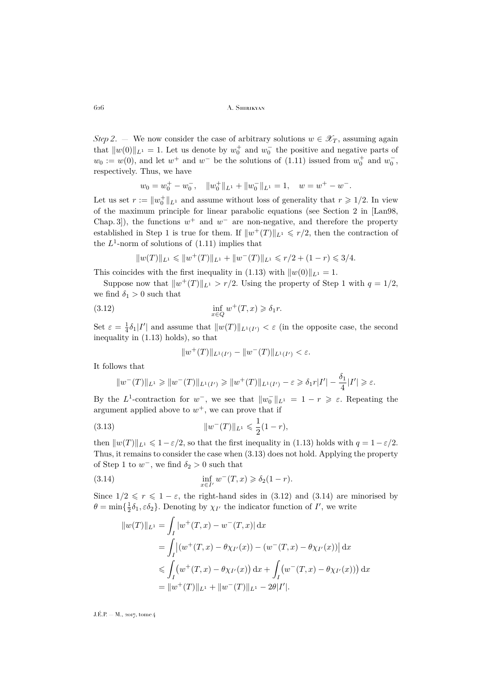*Step 2.* — We now consider the case of arbitrary solutions  $w \in \mathscr{X}_T$ , assuming again that  $||w(0)||_{L^1} = 1$ . Let us denote by  $w_0^+$  and  $w_0^-$  the positive and negative parts of  $w_0 := w(0)$ , and let  $w^+$  and  $w^-$  be the solutions of [\(1.11\)](#page-7-1) issued from  $w_0^+$  and  $w_0^-$ , respectively. Thus, we have

$$
w_0 = w_0^+ - w_0^-, \quad ||w_0^+||_{L^1} + ||w_0^-||_{L^1} = 1, \quad w = w^+ - w^-.
$$

Let us set  $r := ||w_0^+||_{L^1}$  and assume without loss of generality that  $r \geq 1/2$ . In view of the maximum principle for linear parabolic equations (see Section 2 in [\[Lan98,](#page-20-12) Chap. 3, a), the functions  $w^+$  and  $w^-$  are non-negative, and therefore the property established in Step 1 is true for them. If  $||w^+(T)||_{L^1} \leq r/2$ , then the contraction of the  $L^1$ -norm of solutions of  $(1.11)$  implies that

$$
||w(T)||_{L^1} \leq ||w^+(T)||_{L^1} + ||w^-(T)||_{L^1} \leq r/2 + (1-r) \leq 3/4.
$$

This coincides with the first inequality in [\(1.13\)](#page-8-2) with  $||w(0)||_{L^1} = 1$ .

Suppose now that  $||w^+(T)||_{L^1} > r/2$ . Using the property of Step 1 with  $q = 1/2$ , we find  $\delta_1 > 0$  such that

(3.12) 
$$
\inf_{x \in Q} w^+(T,x) \geq \delta_1 r.
$$

Set  $\varepsilon = \frac{1}{4}\delta_1|I'|$  and assume that  $||w(T)||_{L^1(I')} < \varepsilon$  (in the opposite case, the second inequality in [\(1.13\)](#page-8-2) holds), so that

<span id="page-14-1"></span><span id="page-14-0"></span>
$$
||w^+(T)||_{L^1(I')} - ||w^-(T)||_{L^1(I')} < \varepsilon.
$$

It follows that

$$
||w^-(T)||_{L^1} \ge ||w^-(T)||_{L^1(I')} \ge ||w^+(T)||_{L^1(I')} - \varepsilon \ge \delta_1 r|I'| - \frac{\delta_1}{4}|I'| \ge \varepsilon.
$$

By the L<sup>1</sup>-contraction for  $w^-$ , we see that  $||w_0^-||_{L^1} = 1 - r \geq \varepsilon$ . Repeating the argument applied above to  $w^+$ , we can prove that if

(3.13) 
$$
||w^{-}(T)||_{L^{1}} \leqslant \frac{1}{2}(1-r),
$$

then  $||w(T)||_{L^1} \leq 1 - \varepsilon/2$ , so that the first inequality in [\(1.13\)](#page-8-2) holds with  $q = 1 - \varepsilon/2$ . Thus, it remains to consider the case when [\(3.13\)](#page-14-0) does not hold. Applying the property of Step 1 to  $w^-$ , we find  $\delta_2 > 0$  such that

(3.14) 
$$
\inf_{x \in I'} w^-(T, x) \geq \delta_2(1 - r).
$$

Since  $1/2 \le r \le 1 - \varepsilon$ , the right-hand sides in [\(3.12\)](#page-14-1) and [\(3.14\)](#page-14-2) are minorised by  $\theta = \min\{\frac{1}{2}\delta_1, \varepsilon \delta_2\}$ . Denoting by  $\chi_{I'}$  the indicator function of  $I'$ , we write

<span id="page-14-2"></span>
$$
||w(T)||_{L^{1}} = \int_{I} |w^{+}(T, x) - w^{-}(T, x)| dx
$$
  
= 
$$
\int_{I} |(w^{+}(T, x) - \theta \chi_{I'}(x)) - (w^{-}(T, x) - \theta \chi_{I'}(x))| dx
$$
  

$$
\leq \int_{I} (w^{+}(T, x) - \theta \chi_{I'}(x)) dx + \int_{I} (w^{-}(T, x) - \theta \chi_{I'}(x)) dx
$$
  
= 
$$
||w^{+}(T)||_{L^{1}} + ||w^{-}(T)||_{L^{1}} - 2\theta|I'|.
$$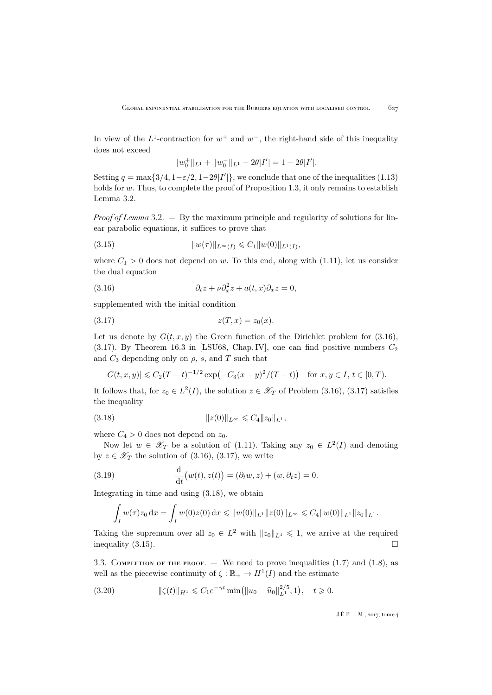In view of the  $L^1$ -contraction for  $w^+$  and  $w^-$ , the right-hand side of this inequality does not exceed

<span id="page-15-3"></span>
$$
||w_0^+||_{L^1} + ||w_0^-||_{L^1} - 2\theta|I'| = 1 - 2\theta|I'|.
$$

Setting  $q = \max\{3/4, 1 - \varepsilon/2, 1 - 2\theta|I|\}$ , we conclude that one of the inequalities [\(1.13\)](#page-8-2) holds for  $w$ . Thus, to complete the proof of Proposition [1.3,](#page-8-1) it only remains to establish Lemma [3.2.](#page-13-4)

*Proof of Lemma* [3.2.](#page-13-4) — By the maximum principle and regularity of solutions for linear parabolic equations, it suffices to prove that

(3.15) 
$$
||w(\tau)||_{L^{\infty}(I)} \leqslant C_1 ||w(0)||_{L^1(I)},
$$

where  $C_1 > 0$  does not depend on w. To this end, along with [\(1.11\)](#page-7-1), let us consider the dual equation

<span id="page-15-0"></span>(3.16) 
$$
\partial_t z + \nu \partial_x^2 z + a(t, x) \partial_x z = 0,
$$

supplemented with the initial condition

<span id="page-15-1"></span>
$$
(3.17) \t\t\t z(T, x) = z_0(x).
$$

Let us denote by  $G(t, x, y)$  the Green function of the Dirichlet problem for [\(3.16\)](#page-15-0), [\(3.17\)](#page-15-1). By Theorem 16.3 in [\[LSU68,](#page-20-13) Chap. IV], one can find positive numbers  $C_2$ and  $C_3$  depending only on  $\rho$ , s, and T such that

<span id="page-15-2"></span>
$$
|G(t, x, y)| \leq C_2 (T - t)^{-1/2} \exp(-C_3 (x - y)^2 / (T - t)) \quad \text{for } x, y \in I, t \in [0, T).
$$

It follows that, for  $z_0 \in L^2(I)$ , the solution  $z \in \mathscr{X}_T$  of Problem [\(3.16\)](#page-15-0), [\(3.17\)](#page-15-1) satisfies the inequality

(3.18) 
$$
||z(0)||_{L^{\infty}} \leq C_4 ||z_0||_{L^1},
$$

where  $C_4 > 0$  does not depend on  $z_0$ .

Now let  $w \in \mathscr{X}_T$  be a solution of [\(1.11\)](#page-7-1). Taking any  $z_0 \in L^2(I)$  and denoting by  $z \in \mathscr{X}_{T}$  the solution of [\(3.16\)](#page-15-0), [\(3.17\)](#page-15-1), we write

(3.19) 
$$
\frac{\mathrm{d}}{\mathrm{d}t}(w(t),z(t)) = (\partial_t w, z) + (w, \partial_t z) = 0.
$$

Integrating in time and using [\(3.18\)](#page-15-2), we obtain

<span id="page-15-5"></span>
$$
\int_I w(\tau)z_0 dx = \int_I w(0)z(0) dx \leq \|w(0)\|_{L^1} \|z(0)\|_{L^\infty} \leq C_4 \|w(0)\|_{L^1} \|z_0\|_{L^1}.
$$

Taking the supremum over all  $z_0 \in L^2$  with  $||z_0||_{L^1} \leq 1$ , we arrive at the required inequality  $(3.15)$ .

3.3. COMPLETION OF THE PROOF. — We need to prove inequalities  $(1.7)$  and  $(1.8)$ , as well as the piecewise continuity of  $\zeta : \mathbb{R}_+ \to H^1(I)$  and the estimate

<span id="page-15-4"></span>
$$
(3.20) \t\t\t ||\zeta(t)||_{H^1} \leq C_1 e^{-\gamma t} \min(||u_0 - \widehat{u}_0||_{L^1}^{2/5}, 1), \quad t \geq 0.
$$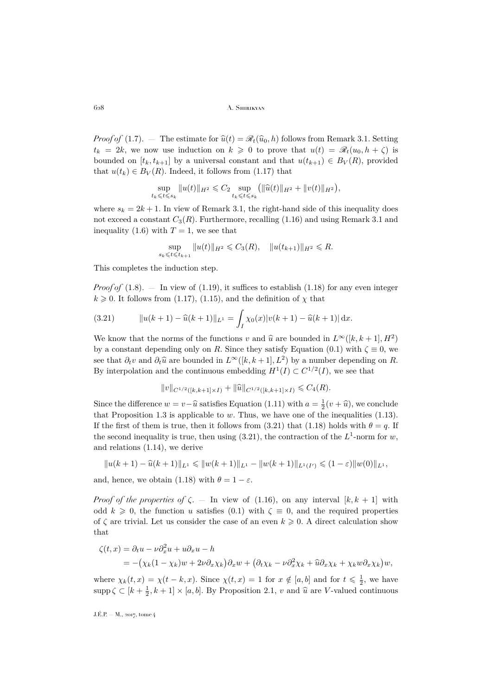*Proof of* [\(1.7\)](#page-7-3). — The estimate for  $\hat{u}(t) = \mathcal{R}_t(\hat{u}_0, h)$  follows from Remark [3.1.](#page-13-0) Setting  $t_k = 2k$ , we now use induction on  $k \geq 0$  to prove that  $u(t) = \mathcal{R}_t(u_0, h + \zeta)$  is bounded on  $[t_k, t_{k+1}]$  by a universal constant and that  $u(t_{k+1}) \in B_V(R)$ , provided that  $u(t_k) \in B_V(R)$ . Indeed, it follows from [\(1.17\)](#page-9-2) that

$$
\sup_{t_k \leq t \leq s_k} \|u(t)\|_{H^2} \leq C_2 \sup_{t_k \leq t \leq s_k} ( \|\widehat{u}(t)\|_{H^2} + \|v(t)\|_{H^2}),
$$

where  $s_k = 2k + 1$ . In view of Remark [3.1,](#page-13-0) the right-hand side of this inequality does not exceed a constant  $C_3(R)$ . Furthermore, recalling [\(1.16\)](#page-9-1) and using Remark [3.1](#page-13-0) and inequality [\(1.6\)](#page-7-4) with  $T = 1$ , we see that

$$
\sup_{s_k \leq t \leq t_{k+1}} \|u(t)\|_{H^2} \leq C_3(R), \quad \|u(t_{k+1})\|_{H^2} \leq R.
$$

This completes the induction step.

*Proof of*  $(1.8)$ . — In view of  $(1.19)$ , it suffices to establish  $(1.18)$  for any even integer  $k \geq 0$ . It follows from [\(1.17\)](#page-9-2), [\(1.15\)](#page-8-4), and the definition of  $\chi$  that

<span id="page-16-0"></span>(3.21) 
$$
\|u(k+1)-\widehat{u}(k+1)\|_{L^1} = \int_I \chi_0(x)|v(k+1)-\widehat{u}(k+1)|\,\mathrm{d}x.
$$

We know that the norms of the functions v and  $\hat{u}$  are bounded in  $L^{\infty}([k, k + 1], H^2)$ by a constant depending only on R. Since they satisfy Equation [\(0.1\)](#page-2-1) with  $\zeta \equiv 0$ , we see that  $\partial_t v$  and  $\partial_t \hat{u}$  are bounded in  $L^{\infty}([k, k+1], L^2)$  by a number depending on R.<br>Dy interpolation and the continuous embedding  $H^1(L) \subset C^{1/2}(L)$  are see that By interpolation and the continuous embedding  $H^1(I) \subset C^{1/2}(I)$ , we see that

$$
||v||_{C^{1/2}([k,k+1]\times I)} + ||\widehat{u}||_{C^{1/2}([k,k+1]\times I)} \leq C_4(R).
$$

Since the difference  $w = v - \hat{u}$  satisfies Equation [\(1.11\)](#page-7-1) with  $a = \frac{1}{2}(v + \hat{u})$ , we conclude that Proposition 1.2 is applicable to  $w$ . Thus, we have an of the inequalities (1.12) that Proposition [1.3](#page-8-1) is applicable to  $w$ . Thus, we have one of the inequalities  $(1.13)$ . If the first of them is true, then it follows from [\(3.21\)](#page-16-0) that [\(1.18\)](#page-9-5) holds with  $\theta = q$ . If the second inequality is true, then using  $(3.21)$ , the contraction of the  $L^1$ -norm for w, and relations [\(1.14\)](#page-8-5), we derive

$$
||u(k+1)-\widehat{u}(k+1)||_{L^1} \leq ||w(k+1)||_{L^1} - ||w(k+1)||_{L^1(I')} \leq (1-\varepsilon)||w(0)||_{L^1},
$$

and, hence, we obtain [\(1.18\)](#page-9-5) with  $\theta = 1 - \varepsilon$ .

*Proof of the properties of*  $\zeta$ . — In view of [\(1.16\)](#page-9-1), on any interval  $[k, k + 1]$  with odd  $k \geq 0$ , the function u satisfies [\(0.1\)](#page-2-1) with  $\zeta \equiv 0$ , and the required properties of  $\zeta$  are trivial. Let us consider the case of an even  $k \geqslant 0$ . A direct calculation show that

$$
\zeta(t,x) = \partial_t u - \nu \partial_x^2 u + u \partial_x u - h
$$
  
= -(\chi\_k(1 - \chi\_k)w + 2\nu \partial\_x \chi\_k) \partial\_x w + (\partial\_t \chi\_k - \nu \partial\_x^2 \chi\_k + \widehat{u} \partial\_x \chi\_k + \chi\_k w \partial\_x \chi\_k)w,

where  $\chi_k(t,x) = \chi(t-k,x)$ . Since  $\chi(t,x) = 1$  for  $x \notin [a, b]$  and for  $t \leq \frac{1}{2}$ , we have supp  $\zeta \subset [k + \frac{1}{2}, k + 1] \times [a, b]$ . By Proposition [2.1,](#page-9-3) v and  $\hat{u}$  are V-valued continuous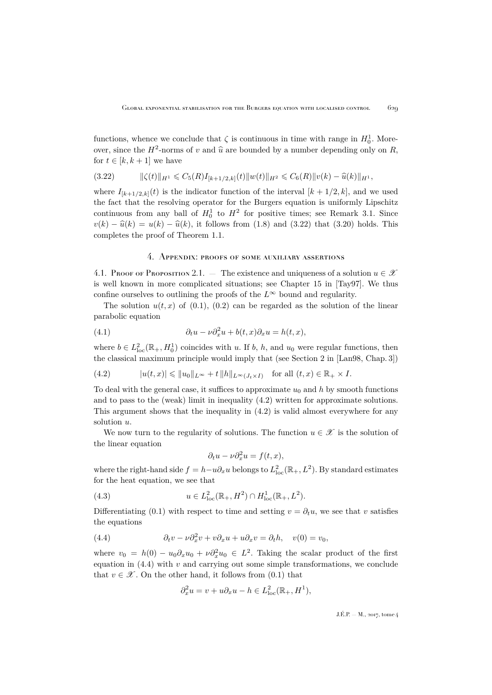functions, whence we conclude that  $\zeta$  is continuous in time with range in  $H_0^1$ . Moreover, since the  $H^2$ -norms of v and  $\hat{u}$  are bounded by a number depending only on R, for  $t \in [k, k+1]$  we have

<span id="page-17-1"></span>
$$
(3.22) \t\t ||\zeta(t)||_{H^1} \leq C_5(R)I_{[k+1/2,k]}(t)||w(t)||_{H^2} \leq C_6(R)||v(k) - \widehat{u}(k)||_{H^1},
$$

where  $I_{[k+1/2,k]}(t)$  is the indicator function of the interval  $[k+1/2, k]$ , and we used the fact that the resolving operator for the Burgers equation is uniformly Lipschitz continuous from any ball of  $H_0^1$  to  $H^2$  for positive times; see Remark [3.1.](#page-13-0) Since  $v(k) - \hat{u}(k) = u(k) - \hat{u}(k)$ , it follows from [\(1.8\)](#page-7-2) and [\(3.22\)](#page-17-1) that [\(3.20\)](#page-15-4) holds. This completes the proof of Theorem [1.1.](#page-5-1)

### 4. Appendix: proofs of some auxiliary assertions

<span id="page-17-0"></span>4.1. Proof of Proposition [2.1.](#page-9-3) — The existence and uniqueness of a solution  $u \in \mathcal{X}$ is well known in more complicated situations; see Chapter 15 in [\[Tay97\]](#page-20-14). We thus confine ourselves to outlining the proofs of the  $L^{\infty}$  bound and regularity.

The solution  $u(t, x)$  of [\(0.1\)](#page-2-1), [\(0.2\)](#page-2-2) can be regarded as the solution of the linear parabolic equation

(4.1) 
$$
\partial_t u - \nu \partial_x^2 u + b(t, x) \partial_x u = h(t, x),
$$

where  $b \in L^2_{loc}(\mathbb{R}_+, H_0^1)$  coincides with u. If b, h, and  $u_0$  were regular functions, then the classical maximum principle would imply that (see Section 2 in [\[Lan98,](#page-20-12) Chap. 3])

<span id="page-17-2"></span>(4.2) 
$$
|u(t,x)| \leqslant ||u_0||_{L^{\infty}} + t ||h||_{L^{\infty}(J_t \times I)} \quad \text{for all } (t,x) \in \mathbb{R}_+ \times I.
$$

To deal with the general case, it suffices to approximate  $u_0$  and h by smooth functions and to pass to the (weak) limit in inequality [\(4.2\)](#page-17-2) written for approximate solutions. This argument shows that the inequality in [\(4.2\)](#page-17-2) is valid almost everywhere for any solution  $u$ .

We now turn to the regularity of solutions. The function  $u \in \mathscr{X}$  is the solution of the linear equation

$$
\partial_t u - \nu \partial_x^2 u = f(t, x),
$$

where the right-hand side  $f = h - u \partial_x u$  belongs to  $L^2_{\text{loc}}(\mathbb{R}_+, L^2)$ . By standard estimates for the heat equation, we see that

(4.3) 
$$
u \in L^2_{loc}(\mathbb{R}_+, H^2) \cap H^1_{loc}(\mathbb{R}_+, L^2).
$$

Differentiating [\(0.1\)](#page-2-1) with respect to time and setting  $v = \partial_t u$ , we see that v satisfies the equations

(4.4) 
$$
\partial_t v - \nu \partial_x^2 v + v \partial_x u + u \partial_x v = \partial_t h, \quad v(0) = v_0,
$$

where  $v_0 = h(0) - u_0 \partial_x u_0 + \nu \partial_x^2 u_0 \in L^2$ . Taking the scalar product of the first equation in  $(4.4)$  with v and carrying out some simple transformations, we conclude that  $v \in \mathcal{X}$ . On the other hand, it follows from [\(0.1\)](#page-2-1) that

<span id="page-17-3"></span>
$$
\partial_x^2 u = v + u \partial_x u - h \in L^2_{loc}(\mathbb{R}_+, H^1),
$$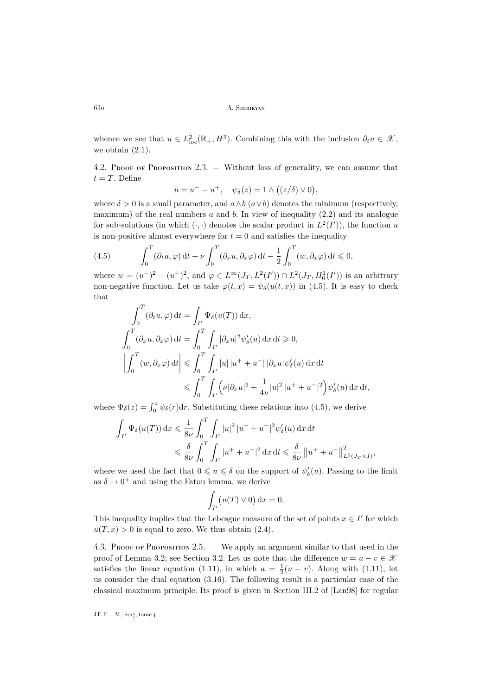whence we see that  $u \in L^2_{loc}(\mathbb{R}_+, H^3)$ . Combining this with the inclusion  $\partial_t u \in \mathscr{X}$ , we obtain  $(2.1)$ .

4.2. Proof of Proposition [2.3.](#page-10-0)  $-$  Without loss of generality, we can assume that  $t = T$ . Define

$$
u = u^- - u^+, \quad \psi_{\delta}(z) = 1 \wedge \big( (z/\delta) \vee 0 \big),
$$

where  $\delta > 0$  is a small parameter, and  $a \wedge b$  ( $a \vee b$ ) denotes the minimum (respectively, maximum) of the real numbers a and b. In view of inequality  $(2.2)$  and its analogue for sub-solutions (in which  $(\cdot, \cdot)$  denotes the scalar product in  $L^2(I')$ ), the function u is non-positive almost everywhere for  $t = 0$  and satisfies the inequality

<span id="page-18-1"></span>(4.5) 
$$
\int_0^T (\partial_t u, \varphi) dt + \nu \int_0^T (\partial_x u, \partial_x \varphi) dt - \frac{1}{2} \int_0^T (w, \partial_x \varphi) dt \leq 0,
$$

where  $w = (u^{-})^{2} - (u^{+})^{2}$ , and  $\varphi \in L^{\infty}(J_{T}, L^{2}(I')) \cap L^{2}(J_{T}, H_{0}^{1}(I'))$  is an arbitrary non-negative function. Let us take  $\varphi(t,x) = \psi_{\delta}(u(t,x))$  in [\(4.5\)](#page-18-1). It is easy to check that

$$
\int_0^T (\partial_t u, \varphi) dt = \int_{I'} \Psi_\delta(u(T)) dx,
$$
\n
$$
\int_0^T (\partial_x u, \partial_x \varphi) dt = \int_0^T \int_{I'} |\partial_x u|^2 \psi_\delta'(u) dx dt \ge 0,
$$
\n
$$
\left| \int_0^T (w, \partial_x \varphi) dt \right| \le \int_0^T \int_{I'} |u| |u^+ + u^-| |\partial_x u| \psi_\delta'(u) dx dt
$$
\n
$$
\le \int_0^T \int_{I'} (v |\partial_x u|^2 + \frac{1}{4\nu} |u|^2 |u^+ + u^-|^2) \psi_\delta'(u) dx dt,
$$

where  $\Psi_{\delta}(z) = \int_0^z \psi_{\delta}(r) dr$ . Substituting these relations into [\(4.5\)](#page-18-1), we derive

$$
\int_{I'} \Psi_{\delta}(u(T)) dx \leq \frac{1}{8\nu} \int_0^T \int_{I'} |u|^2 |u^+ + u^-|^2 \psi_{\delta}'(u) dx dt
$$
  

$$
\leq \frac{\delta}{8\nu} \int_0^T \int_{I'} |u^+ + u^-|^2 dx dt \leq \frac{\delta}{8\nu} ||u^+ + u^-\|_{L^2(J_T \times I)}^2,
$$

where we used the fact that  $0 \leqslant u \leqslant \delta$  on the support of  $\psi_{\delta}'(u)$ . Passing to the limit as  $\delta \to 0^+$  and using the Fatou lemma, we derive

$$
\int_{I'} \bigl( u(T) \vee 0 \bigr) \, \mathrm{d}x = 0.
$$

This inequality implies that the Lebesgue measure of the set of points  $x \in I'$  for which  $u(T, x) > 0$  is equal to zero. We thus obtain [\(2.4\)](#page-10-4).

<span id="page-18-0"></span>4.3. Proof of Proposition [2.5.](#page-11-2) — We apply an argument similar to that used in the proof of Lemma [3.2;](#page-13-4) see Section [3.2.](#page-13-5) Let us note that the difference  $w = u - v \in \mathcal{X}$ satisfies the linear equation [\(1.11\)](#page-7-1), in which  $a = \frac{1}{2}(u + v)$ . Along with (1.11), let us consider the dual equation [\(3.16\)](#page-15-0). The following result is a particular case of the classical maximum principle. Its proof is given in Section III.2 of [\[Lan98\]](#page-20-12) for regular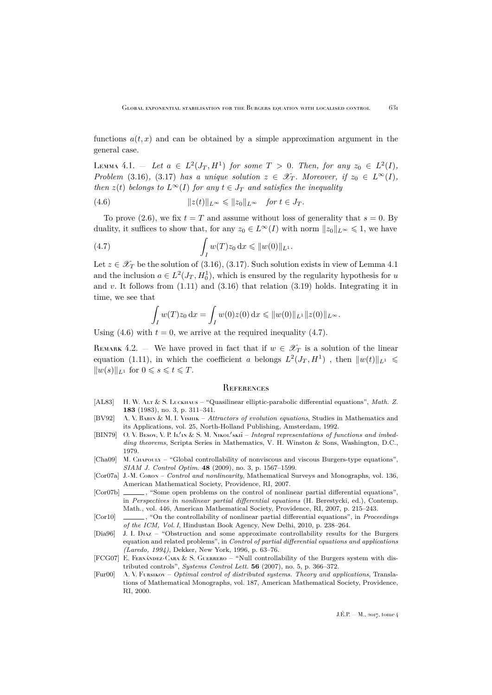functions  $a(t, x)$  and can be obtained by a simple approximation argument in the general case.

<span id="page-19-12"></span> $\text{Lemma 4.1.} = \text{Let } a \in L^2(J_T, H^1) \text{ for some } T > 0. \text{ Then, for any } z_0 \in L^2(I),$ *Problem* [\(3.16\)](#page-15-0)*,* [\(3.17\)](#page-15-1) *has a unique solution*  $z \in \mathscr{X}_T$ *. Moreover, if*  $z_0 \in L^{\infty}(I)$ *, then*  $z(t)$  *belongs to*  $L^{\infty}(I)$  *for any*  $t \in J_T$  *and satisfies the inequality* 

<span id="page-19-13"></span>(4.6) 
$$
||z(t)||_{L^{\infty}} \leq ||z_0||_{L^{\infty}} \quad \text{for } t \in J_T.
$$

To prove [\(2.6\)](#page-11-3), we fix  $t = T$  and assume without loss of generality that  $s = 0$ . By duality, it suffices to show that, for any  $z_0 \in L^{\infty}(I)$  with norm  $||z_0||_{L^{\infty}} \leq 1$ , we have

(4.7) 
$$
\int_I w(T) z_0 \, dx \leq \|w(0)\|_{L^1}.
$$

Let  $z \in \mathscr{X}_T$  be the solution of [\(3.16\)](#page-15-0), [\(3.17\)](#page-15-1). Such solution exists in view of Lemma [4.1](#page-19-12) and the inclusion  $a \in L^2(J_T, H_0^1)$ , which is ensured by the regularity hypothesis for u and v. It follows from  $(1.11)$  and  $(3.16)$  that relation  $(3.19)$  holds. Integrating it in time, we see that

<span id="page-19-14"></span>
$$
\int_I w(T)z_0 dx = \int_I w(0)z(0) dx \leq \|w(0)\|_{L^1} \|z(0)\|_{L^\infty}.
$$

Using [\(4.6\)](#page-19-13) with  $t = 0$ , we arrive at the required inequality [\(4.7\)](#page-19-14).

<span id="page-19-11"></span>REMARK 4.2. — We have proved in fact that if  $w \in \mathscr{X}_T$  is a solution of the linear equation [\(1.11\)](#page-7-1), in which the coefficient a belongs  $L^2(J_T, H^1)$ , then  $||w(t)||_{L^1} \leq$  $||w(s)||_{L^1}$  for  $0 \leqslant s \leqslant t \leqslant T$ .

#### <span id="page-19-0"></span>**REFERENCES**

- <span id="page-19-9"></span>[AL83] H. W. Alt & S. Luckhaus – "Quasilinear elliptic-parabolic differential equations", *Math. Z.* **183** (1983), no. 3, p. 311–341.
- <span id="page-19-10"></span>[BV92] A. V. Babin & M. I. Vishik – *Attractors of evolution equations*, Studies in Mathematics and its Applications, vol. 25, North-Holland Publishing, Amsterdam, 1992.
- <span id="page-19-8"></span>[BIN79] O. V. BESOV, V. P. It'IN & S. M. NIKOL'SKII – *Integral representations of functions and imbedding theorems*, Scripta Series in Mathematics, V. H. Winston & Sons, Washington, D.C., 1979.
- <span id="page-19-4"></span>[Cha09] M. CHAPOULY – "Global controllability of nonviscous and viscous Burgers-type equations", *SIAM J. Control Optim.* **48** (2009), no. 3, p. 1567–1599.
- <span id="page-19-6"></span>[Cor07a] J.-M. Coron – *Control and nonlinearity*, Mathematical Surveys and Monographs, vol. 136, American Mathematical Society, Providence, RI, 2007.
- <span id="page-19-2"></span>[Cor07b]  $\qquad \qquad$ , "Some open problems on the control of nonlinear partial differential equations", in *Perspectives in nonlinear partial differential equations* (H. Berestycki, ed.), Contemp. Math., vol. 446, American Mathematical Society, Providence, RI, 2007, p. 215–243.
- <span id="page-19-7"></span>[Cor10]  $\qquad \qquad$ , "On the controllability of nonlinear partial differential equations", in *Proceedings of the ICM, Vol. I*, Hindustan Book Agency, New Delhi, 2010, p. 238–264.
- <span id="page-19-1"></span>[Dia96] J. I. Diaz – "Obstruction and some approximate controllability results for the Burgers equation and related problems", in *Control of partial differential equations and applications (Laredo, 1994)*, Dekker, New York, 1996, p. 63–76.
- <span id="page-19-3"></span>[FCG07] E. FERNÁNDEZ-CARA & S. GUERRERO – "Null controllability of the Burgers system with distributed controls", *Systems Control Lett.* **56** (2007), no. 5, p. 366–372.
- <span id="page-19-5"></span>[Fur00] A. V. Fursikov – *Optimal control of distributed systems. Theory and applications*, Translations of Mathematical Monographs, vol. 187, American Mathematical Society, Providence, RI, 2000.